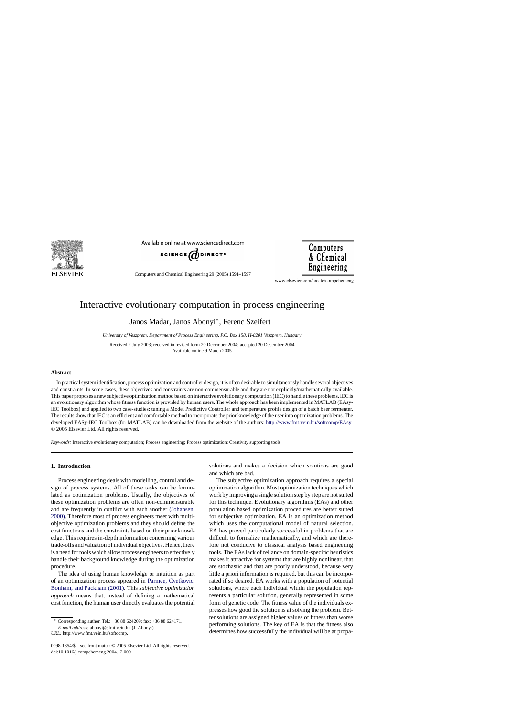

Available online at www.sciencedirect.com



Computers and Chemical Engineering 29 (2005) 1591–1597

www.elsevier.com/locate/compchemeng

Computers

& Chemical Engineering

## Interactive evolutionary computation in process engineering

Janos Madar, Janos Abonyi∗, Ferenc Szeifert

*University of Veszprem, Department of Process Engineering, P.O. Box 158, H-8201 Veszprem, Hungary*

Received 2 July 2003; received in revised form 20 December 2004; accepted 20 December 2004 Available online 9 March 2005

#### **Abstract**

In practical system identification, process optimization and controller design, it is often desirable to simultaneously handle several objectives and constraints. In some cases, these objectives and constraints are non-commensurable and they are not explicitly/mathematically available. This paper proposes a new subjective optimization method based on interactive evolutionary computation (IEC) to handle these problems. IEC is an evolutionary algorithm whose fitness function is provided by human users. The whole approach has been implemented in MATLAB (EAsy-IEC Toolbox) and applied to two case-studies: tuning a Model Predictive Controller and temperature profile design of a batch beer fermenter. The results show that IEC is an efficient and comfortable method to incorporate the prior knowledge of the user into optimization problems. The developed EASy-IEC Toolbox (for MATLAB) can be downloaded from the website of the authors: [http://www.fmt.vein.hu/softcomp/EAsy.](http://www.fmt.vein.hu/softcomp/EAsy) © 2005 Elsevier Ltd. All rights reserved.

*Keywords:* Interactive evolutionary computation; Process engineering; Process optimization; Creativity supporting tools

### **1. Introduction**

Process engineering deals with modelling, control and design of process systems. All of these tasks can be formulated as optimization problems. Usually, the objectives of these optimization problems are often non-commensurable and are frequently in conflict with each another [\(Johansen,](#page--1-0) [2000\). T](#page--1-0)herefore most of process engineers meet with multiobjective optimization problems and they should define the cost functions and the constraints based on their prior knowledge. This requires in-depth information concerning various trade-offs and valuation of individual objectives. Hence, there is a need for tools which allow process engineers to effectively handle their background knowledge during the optimization procedure.

The idea of using human knowledge or intuition as part of an optimization process appeared in Parmee, Cvetkovic, Bonham, and Packham (2001). This *subjective optimization approach* means that, instead of defining a mathematical cost function, the human user directly evaluates the potential

*URL:* http://www.fmt.vein.hu/softcomp.

solutions and makes a decision which solutions are good and which are bad.

The subjective optimization approach requires a special optimization algorithm. Most optimization techniques which work by improving a single solution step by step are not suited for this technique. Evolutionary algorithms (EAs) and other population based optimization procedures are better suited for subjective optimization. EA is an optimization method which uses the computational model of natural selection. EA has proved particularly successful in problems that are difficult to formalize mathematically, and which are therefore not conducive to classical analysis based engineering tools. The EAs lack of reliance on domain-specific heuristics makes it attractive for systems that are highly nonlinear, that are stochastic and that are poorly understood, because very little a priori information is required, but this can be incorpo[rated if so desired. EA wo](#page--1-0)rks with a population of potential solutions, where each individual within the population represents a particular solution, generally represented in some form of genetic code. The fitness value of the individuals expresses how good the solution is at solving the problem. Better solutions are assigned higher values of fitness than worse performing solutions. The key of EA is that the fitness also determines how successfully the individual will be at propa-

<sup>∗</sup> Corresponding author. Tel.: +36 88 624209; fax: +36 88 624171.

*E-mail address:* abonyij@fmt.vein.hu (J. Abonyi).

<sup>0098-1354/\$ –</sup> see front matter © 2005 Elsevier Ltd. All rights reserved. doi:10.1016/j.compchemeng.2004.12.009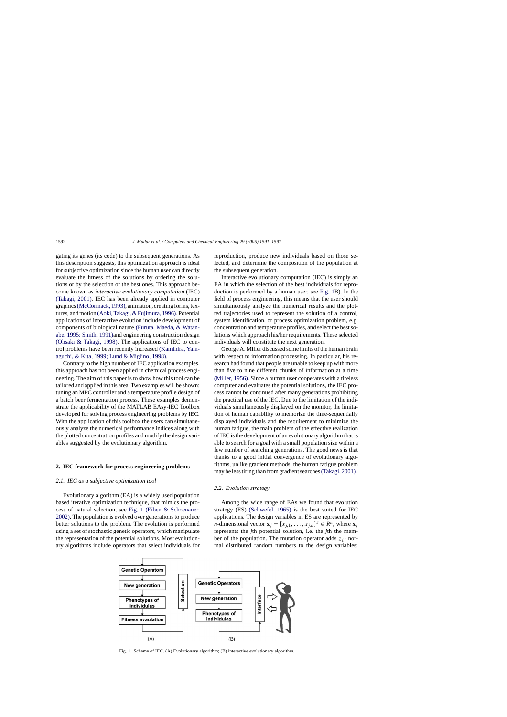gating its genes (its code) to the subsequent generations. As this description suggests, this optimization approach is ideal for subjective optimization since the human user can directly evaluate the fitness of the solutions by ordering the solutions or by the selection of the best ones. This approach become known as *interactive evolutionary computation* (IEC) [\(Takagi, 2001\).](#page--1-0) IEC has been already applied in computer graphics[\(McCormack, 1993\), a](#page--1-0)nimation, creating forms, textures, and motion [\(Aoki, Takagi, & Fujimura, 1996\). Po](#page--1-0)tential applications of interactive evolution include development of components of biological nature [\(Furuta, Maeda, & Watan](#page--1-0)abe, 1995; Smith, 1991)and engineering construction design [\(Ohsaki & Takagi, 1998\).](#page--1-0) The applications of IEC to control problems have been recently increased (Kamihira, Yamaguchi, & Kita, 1999; Lund & Miglino, 1998).

Contrary to the high number of IEC application examples, this approach has not been applied in chemical process engineering. The aim of this paper is to show how this tool can be tailored and applied in this area. Two examples will be shown: tuning an MPC controller and a temperature profile design of a batch beer fermentation process. These examples demonstrate the applicability of the MATLAB EAsy-IEC Toolbox developed for solving process engineering problems by IEC. With the application of this toolbox the users can simultaneously analyze the numerical performance indices along with the plotted concentration profiles and modify the design variables suggested by the evolutionary algorithm.

#### **2. IEC framework for process engineering problems**

#### *2.1. IEC as a subjective optimization tool*

Evolutionary algorithm (EA) is a widely used population based iterative optimization technique, that mimics the process of natural selection, see Fig. 1 [\(Eiben & Schoenauer,](#page--1-0) 2002). The population is evolved over generations to produce better solutions to the problem. The evolution is performed using a set of stochastic genetic operators, which manipulate the representation of the potential solutions. Most evolutionary algorithms include operators that select individuals for reproduction, produce new individuals based on those selected, and determine the composition of the population at the subsequent generation.

Interactive evolutionary computation (IEC) is simply an EA in which the selection of the best individuals for reproduction is performed by a human user, see Fig. 1B). In the field of process engineering, this means that the user should simultaneously analyze the numerical results and the plotted trajectories used to represent the solution of a control, system identification, or process optimization problem, e.g. concentration and temperature profiles, and select the best solutions which approach his/her requirements. These selected individuals will constitute the next generation.

[George A. Miller discussed some limits](#page--1-0) of the human brain with respect to information processing. In particular, his research had found that people are unable to keep up with more than five to nine different chunks of information at a time [\(Miller, 1956\). S](#page--1-0)ince a human user cooperates with a tireless computer and evaluates the potential solutions, the IEC process cannot be continued after many generations prohibiting the practical use of the IEC. Due to the limitation of the individuals simultaneously displayed on the monitor, the limitation of human capability to memorize the time-sequentially displayed individuals and the requirement to minimize the human fatigue, the main problem of the effective realization of IEC is the development of an evolutionary algorithm that is able to search for a goal with a small population size within a few number of searching generations. The good news is that thanks to a good initial convergence of evolutionary algorithms, unlike gradient methods, the human fatigue problem may be less tiring than from gradient searches[\(Takagi, 2001\).](#page--1-0)

#### *2.2. Evolution strategy*

Among the wide range of EAs we found that evolution strategy (ES) [\(Schwefel, 1965\)](#page--1-0) is the best suited for IEC applications. The design variables in ES are represented by *n*-dimensional vector  $\mathbf{x}_j = [x_{j,1}, \dots, x_{j,n}]^T \in R^n$ , where  $\mathbf{x}_j$ represents the *j*th potential solution, i.e. the *j*th the member of the population. The mutation operator adds  $z_{i,i}$  normal distributed random numbers to the design variables:



Fig. 1. Scheme of IEC. (A) Evolutionary algorithm; (B) interactive evolutionary algorithm.